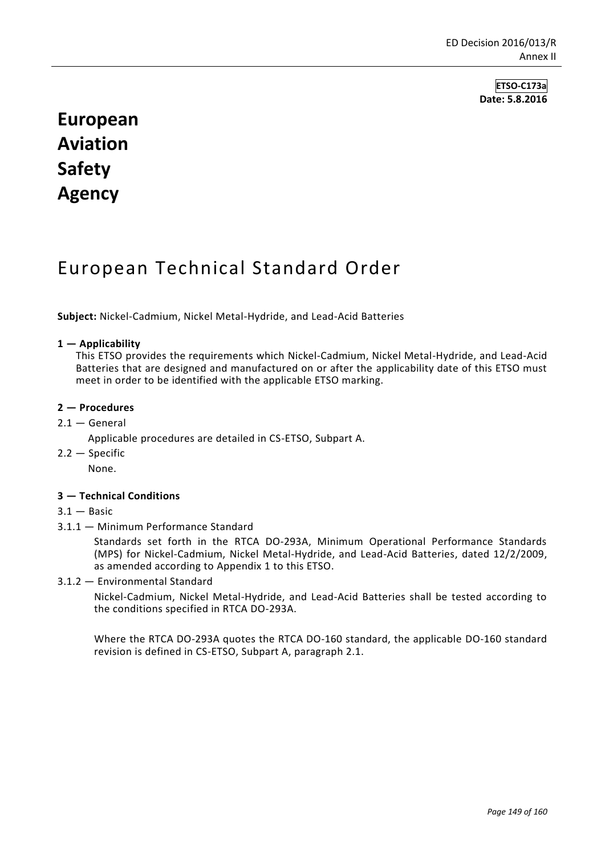**ETSO-C173a Date: 5.8.2016**

# **European Aviation Safety Agency**

## European Technical Standard Order

**Subject:** Nickel-Cadmium, Nickel Metal-Hydride, and Lead-Acid Batteries

## **1 — Applicability**

This ETSO provides the requirements which Nickel-Cadmium, Nickel Metal-Hydride, and Lead-Acid Batteries that are designed and manufactured on or after the applicability date of this ETSO must meet in order to be identified with the applicable ETSO marking.

#### **2 — Procedures**

 $2.1 -$  General

Applicable procedures are detailed in CS-ETSO, Subpart A.

 $2.2 -$ Specific

None.

## **3 — Technical Conditions**

- $3.1 -$  Basic
- 3.1.1 Minimum Performance Standard

Standards set forth in the RTCA DO-293A, Minimum Operational Performance Standards (MPS) for Nickel-Cadmium, Nickel Metal-Hydride, and Lead-Acid Batteries, dated 12/2/2009, as amended according to Appendix 1 to this ETSO.

3.1.2 — Environmental Standard

Nickel-Cadmium, Nickel Metal-Hydride, and Lead-Acid Batteries shall be tested according to the conditions specified in RTCA DO-293A.

Where the RTCA DO-293A quotes the RTCA DO-160 standard, the applicable DO-160 standard revision is defined in CS-ETSO, Subpart A, paragraph 2.1.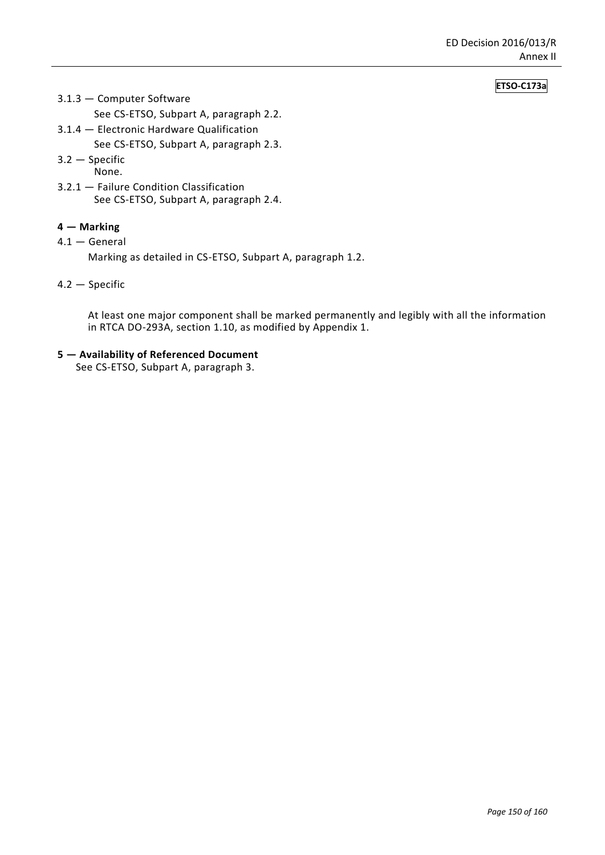## **ETSO-C173a**

- 3.1.3 Computer Software
	- See CS-ETSO, Subpart A, paragraph 2.2.
- 3.1.4 Electronic Hardware Qualification

See CS-ETSO, Subpart A, paragraph 2.3.

- 3.2 Specific
- None.
- 3.2.1 Failure Condition Classification See CS-ETSO, Subpart A, paragraph 2.4.

## **4 — Marking**

4.1 — General

Marking as detailed in CS-ETSO, Subpart A, paragraph 1.2.

4.2 — Specific

At least one major component shall be marked permanently and legibly with all the information in RTCA DO-293A, section 1.10, as modified by Appendix 1.

**5 — Availability of Referenced Document**

See CS-ETSO, Subpart A, paragraph 3.